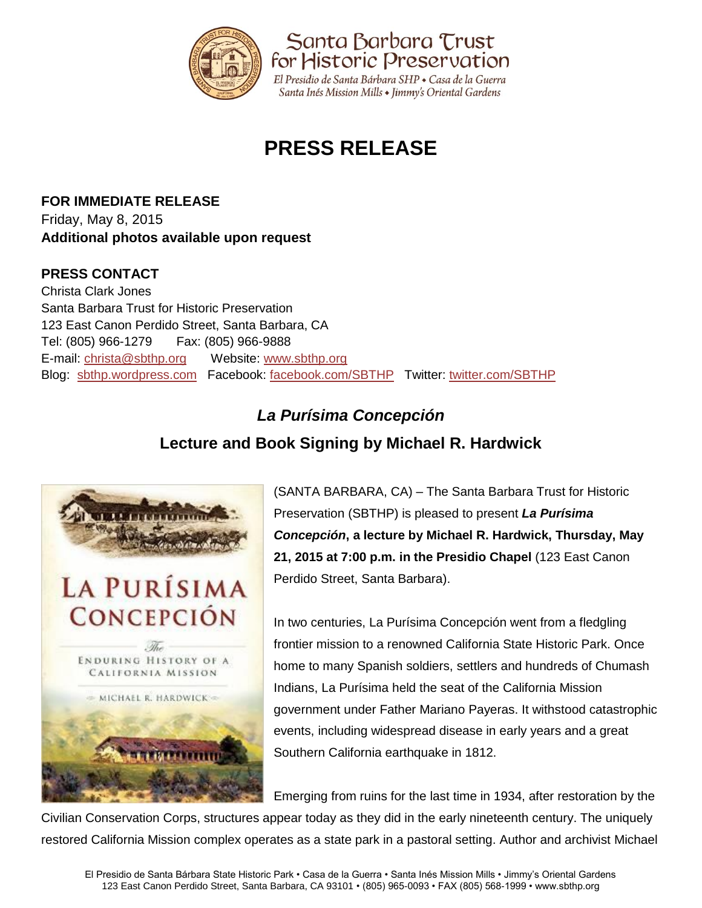

# **PRESS RELEASE**

**FOR IMMEDIATE RELEASE** Friday, May 8, 2015 **Additional photos available upon request**

#### **PRESS CONTACT**

Christa Clark Jones Santa Barbara Trust for Historic Preservation 123 East Canon Perdido Street, Santa Barbara, CA Tel: (805) 966-1279 Fax: (805) 966-9888 E-mail: [christa@sbthp.org](mailto:christa@sbthp.org) Website: [www.sbthp.org](http://www.sbthp.org/) Blog: [sbthp.wordpress.com](http://sbthp.wordpress.com/) Facebook: [facebook.com/SBTHP](http://www.facebook.com/SBTHP) Twitter: [twitter.com/SBTHP](http://twitter.com/SBTHP)

## *La Purísima Concepción*

### **Lecture and Book Signing by Michael R. Hardwick**



(SANTA BARBARA, CA) – The Santa Barbara Trust for Historic Preservation (SBTHP) is pleased to present *La Purísima Concepción***, a lecture by Michael R. Hardwick, Thursday, May 21, 2015 at 7:00 p.m. in the Presidio Chapel** (123 East Canon Perdido Street, Santa Barbara).

In two centuries, La Purísima Concepción went from a fledgling frontier mission to a renowned California State Historic Park. Once home to many Spanish soldiers, settlers and hundreds of Chumash Indians, La Purísima held the seat of the California Mission government under Father Mariano Payeras. It withstood catastrophic events, including widespread disease in early years and a great Southern California earthquake in 1812.

Emerging from ruins for the last time in 1934, after restoration by the

Civilian Conservation Corps, structures appear today as they did in the early nineteenth century. The uniquely restored California Mission complex operates as a state park in a pastoral setting. Author and archivist Michael